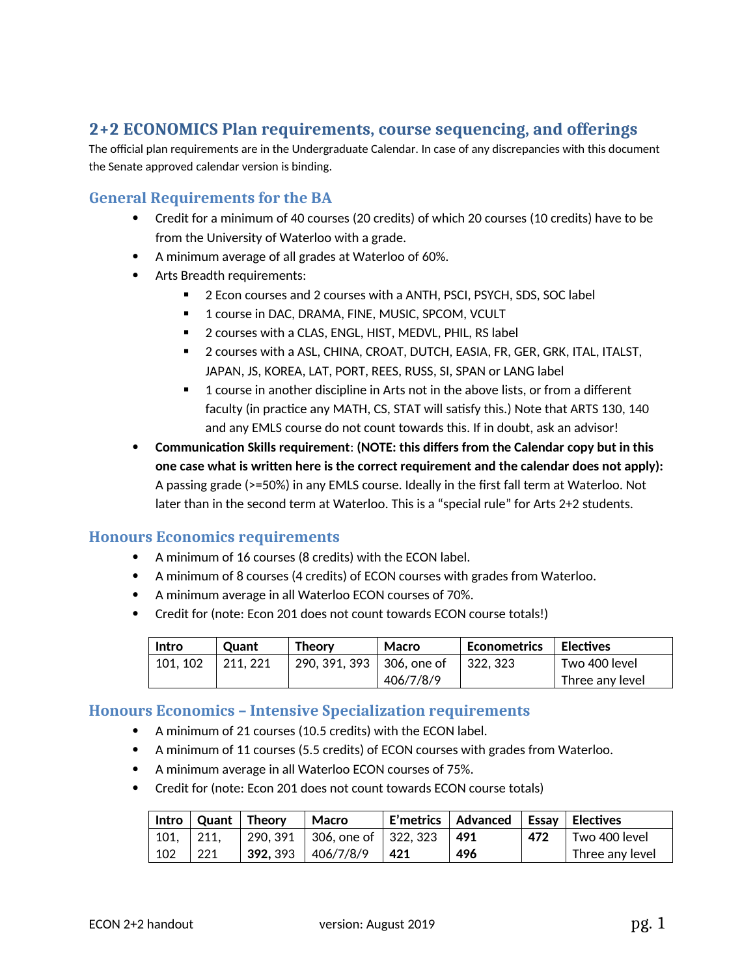# **2+2 ECONOMICS Plan requirements, course sequencing, and offerings**

The official plan requirements are in the Undergraduate Calendar. In case of any discrepancies with this document the Senate approved calendar version is binding.

### **General Requirements for the BA**

- Credit for a minimum of 40 courses (20 credits) of which 20 courses (10 credits) have to be from the University of Waterloo with a grade.
- A minimum average of all grades at Waterloo of 60%.
- Arts Breadth requirements:
	- 2 Econ courses and 2 courses with a ANTH, PSCI, PSYCH, SDS, SOC label
	- **1** course in DAC, DRAMA, FINE, MUSIC, SPCOM, VCULT
	- **2** courses with a CLAS, ENGL, HIST, MEDVL, PHIL, RS label
	- **2** courses with a ASL, CHINA, CROAT, DUTCH, EASIA, FR, GER, GRK, ITAL, ITALST, JAPAN, JS, KOREA, LAT, PORT, REES, RUSS, SI, SPAN or LANG label
	- 1 course in another discipline in Arts not in the above lists, or from a different faculty (in practice any MATH, CS, STAT will satisfy this.) Note that ARTS 130, 140 and any EMLS course do not count towards this. If in doubt, ask an advisor!
- **Communication Skills requirement**: **(NOTE: this differs from the Calendar copy but in this one case what is written here is the correct requirement and the calendar does not apply):** A passing grade (>=50%) in any EMLS course. Ideally in the first fall term at Waterloo. Not later than in the second term at Waterloo. This is a "special rule" for Arts 2+2 students.

### **Honours Economics requirements**

- A minimum of 16 courses (8 credits) with the ECON label.
- A minimum of 8 courses (4 credits) of ECON courses with grades from Waterloo.
- A minimum average in all Waterloo ECON courses of 70%.
- Credit for (note: Econ 201 does not count towards ECON course totals!)

| Intro    | <b>Ouant</b> | Theory                      | Macro     | Econometrics | <b>Electives</b> |
|----------|--------------|-----------------------------|-----------|--------------|------------------|
| 101, 102 | 211, 221     | 290, 391, 393   306, one of |           | 322.323      | Two 400 level    |
|          |              |                             | 406/7/8/9 |              | Three any level  |

#### **Honours Economics – Intensive Specialization requirements**

- A minimum of 21 courses (10.5 credits) with the ECON label.
- A minimum of 11 courses (5.5 credits) of ECON courses with grades from Waterloo.
- A minimum average in all Waterloo ECON courses of 75%.
- Credit for (note: Econ 201 does not count towards ECON course totals)

| Intro | Quant   Theory |          | Macro                         |     | E'metrics   Advanced   Essay   Electives |     |                 |
|-------|----------------|----------|-------------------------------|-----|------------------------------------------|-----|-----------------|
| 101,  | -211.          |          | 290, 391 306, one of 322, 323 |     | -491                                     | 472 | Two 400 level   |
| 102   | 221            | 392, 393 | 406/7/8/9                     | 421 | 496                                      |     | Three any level |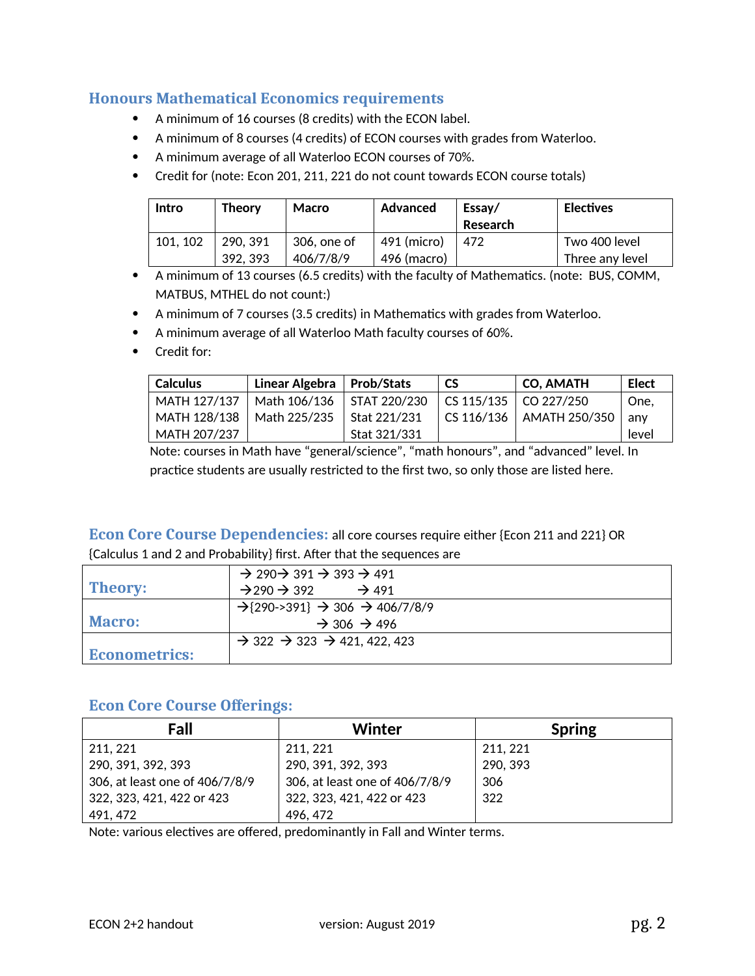### **Honours Mathematical Economics requirements**

- A minimum of 16 courses (8 credits) with the ECON label.
- A minimum of 8 courses (4 credits) of ECON courses with grades from Waterloo.
- A minimum average of all Waterloo ECON courses of 70%.
- Credit for (note: Econ 201, 211, 221 do not count towards ECON course totals)

| Intro    | <b>Theory</b> | Macro       | Advanced    | Essay/<br>Research | <b>Electives</b> |
|----------|---------------|-------------|-------------|--------------------|------------------|
| 101, 102 | 290.391       | 306, one of | 491 (micro) | 472                | Two 400 level    |
|          | 392.393       | 406/7/8/9   | 496 (macro) |                    | Three any level  |

- A minimum of 13 courses (6.5 credits) with the faculty of Mathematics. (note: BUS, COMM, MATBUS, MTHEL do not count:)
- A minimum of 7 courses (3.5 credits) in Mathematics with grades from Waterloo.
- A minimum average of all Waterloo Math faculty courses of 60%.
- Credit for:

| <b>Calculus</b> | Linear Algebra | <b>Prob/Stats</b> | <b>CS</b>     | <b>CO, AMATH</b> | Elect |
|-----------------|----------------|-------------------|---------------|------------------|-------|
| MATH 127/137    | Math 106/136   | STAT 220/230      | CS 115/135    | CO 227/250       | One,  |
| MATH 128/138    | Math 225/235   | Stat 221/231      | $C$ S 116/136 | AMATH 250/350    | anv   |
| MATH 207/237    |                | Stat 321/331      |               |                  | level |

Note: courses in Math have "general/science", "math honours", and "advanced" level. In practice students are usually restricted to the first two, so only those are listed here.

### **Econ Core Course Dependencies:** all core courses require either {Econ 211 and 221} OR {Calculus 1 and 2 and Probability} first. After that the sequences are

|                      | $\rightarrow$ 290 $\rightarrow$ 391 $\rightarrow$ 393 $\rightarrow$ 491 |
|----------------------|-------------------------------------------------------------------------|
| <b>Theory:</b>       | $\rightarrow$ 491<br>$\rightarrow$ 290 $\rightarrow$ 392                |
|                      | $\rightarrow$ {290->391} $\rightarrow$ 306 $\rightarrow$ 406/7/8/9      |
| <b>Macro:</b>        | $\rightarrow$ 306 $\rightarrow$ 496                                     |
|                      | $\rightarrow$ 322 $\rightarrow$ 323 $\rightarrow$ 421, 422, 423         |
| <b>Econometrics:</b> |                                                                         |

# **Econ Core Course Offerings:**

| Fall                           | Winter                         | <b>Spring</b> |
|--------------------------------|--------------------------------|---------------|
| 211, 221                       | 211, 221                       | 211, 221      |
| 290, 391, 392, 393             | 290, 391, 392, 393             | 290, 393      |
| 306, at least one of 406/7/8/9 | 306, at least one of 406/7/8/9 | 306           |
| 322, 323, 421, 422 or 423      | 322, 323, 421, 422 or 423      | 322           |
| 491, 472                       | 496, 472                       |               |

Note: various electives are offered, predominantly in Fall and Winter terms.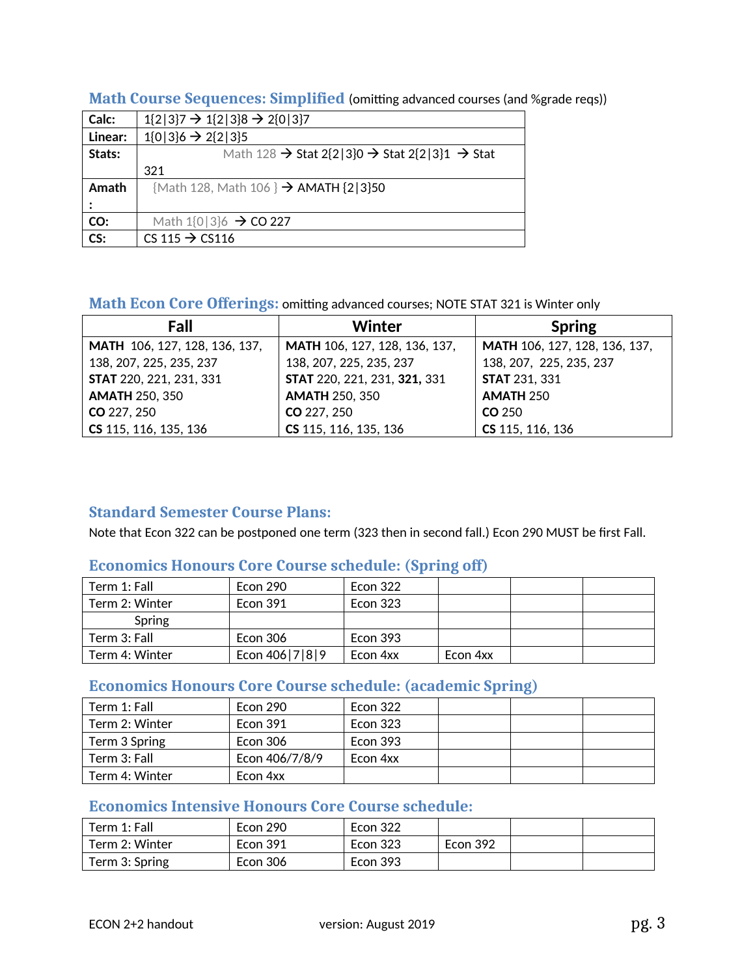| Calc:   | $1\{2 3\}7 \rightarrow 1\{2 3\}8 \rightarrow 2\{0 3\}7$                           |
|---------|-----------------------------------------------------------------------------------|
| Linear: | $1{0 3}6 \rightarrow 2{2 3}5$                                                     |
| Stats:  | Math 128 $\rightarrow$ Stat 2{2 3}0 $\rightarrow$ Stat 2{2 3}1 $\rightarrow$ Stat |
|         | 321                                                                               |
| Amath   | {Math 128, Math 106 } $\rightarrow$ AMATH {2 3}50                                 |
|         |                                                                                   |
| CO:     | Math $1\{0\}3\}6 \rightarrow CO 227$                                              |
| CS:     | CS 115 $\rightarrow$ CS116                                                        |

#### **Math Course Sequences: Simplified** (omitting advanced courses (and %grade reqs))

## **Math Econ Core Offerings:** omitting advanced courses; NOTE STAT 321 is Winter only

| Fall                          | Winter                        | <b>Spring</b>                 |
|-------------------------------|-------------------------------|-------------------------------|
| MATH 106, 127, 128, 136, 137, | MATH 106, 127, 128, 136, 137, | MATH 106, 127, 128, 136, 137, |
| 138, 207, 225, 235, 237       | 138, 207, 225, 235, 237       | 138, 207, 225, 235, 237       |
| STAT 220, 221, 231, 331       | STAT 220, 221, 231, 321, 331  | <b>STAT 231, 331</b>          |
| <b>AMATH 250, 350</b>         | <b>AMATH 250, 350</b>         | <b>AMATH 250</b>              |
| CO 227, 250                   | CO 227, 250                   | CO 250                        |
| CS 115, 116, 135, 136         | CS 115, 116, 135, 136         | CS 115, 116, 136              |

# **Standard Semester Course Plans:**

Note that Econ 322 can be postponed one term (323 then in second fall.) Econ 290 MUST be first Fall.

## **Economics Honours Core Course schedule: (Spring off)**

| Term 1: Fall   | Econ 290       | Econ 322        |          |  |
|----------------|----------------|-----------------|----------|--|
| Term 2: Winter | Econ 391       | <b>Econ 323</b> |          |  |
| Spring         |                |                 |          |  |
| Term 3: Fall   | Econ 306       | Econ 393        |          |  |
| Term 4: Winter | Econ 406 7 8 9 | Econ 4xx        | Econ 4xx |  |

## **Economics Honours Core Course schedule: (academic Spring)**

| Term 1: Fall   | Econ 290       | Econ 322 |  |  |
|----------------|----------------|----------|--|--|
| Term 2: Winter | Econ 391       | Econ 323 |  |  |
| Term 3 Spring  | Econ 306       | Econ 393 |  |  |
| Term 3: Fall   | Econ 406/7/8/9 | Econ 4xx |  |  |
| Term 4: Winter | Econ 4xx       |          |  |  |

# **Economics Intensive Honours Core Course schedule:**

| Term 1: Fall   | <b>Econ 290</b> | Econ 322        |                 |  |
|----------------|-----------------|-----------------|-----------------|--|
| Term 2: Winter | <b>Econ 391</b> | Econ 323        | <b>Econ 392</b> |  |
| Term 3: Spring | Econ 306        | <b>Econ 393</b> |                 |  |